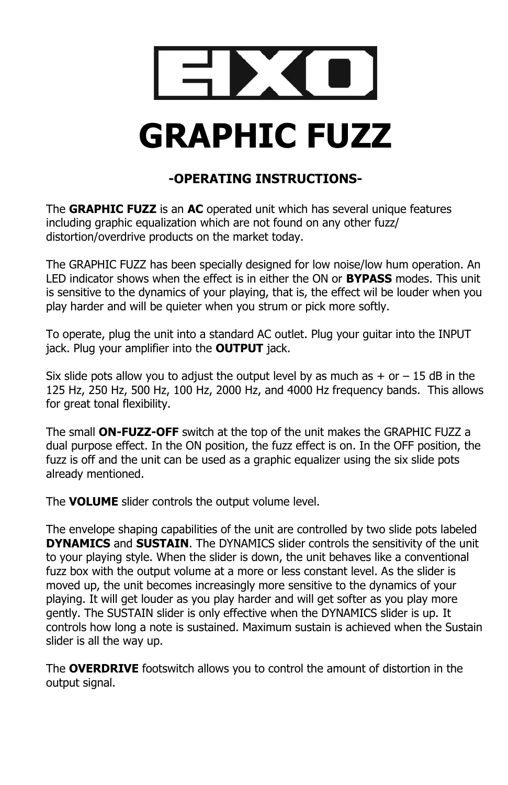

## **-OPERATING INSTRUCTIONS-**

The **GRAPHIC FUZZ** is an **AC** operated unit which has several unique features including graphic equalization which are not found on any other fuzz/ distortion/overdrive products on the market today.

The GRAPHIC FUZZ has been specially designed for low noise/low hum operation. An LED indicator shows when the effect is in either the ON or **BYPASS** modes. This unit is sensitive to the dynamics of your playing, that is, the effect wil be louder when you play harder and will be quieter when you strum or pick more softly.

To operate, plug the unit into a standard AC outlet. Plug your guitar into the INPUT jack. Plug your amplifier into the **OUTPUT** jack.

Six slide pots allow you to adjust the output level by as much as  $+$  or  $-15$  dB in the 125 Hz, 250 Hz, 500 Hz, 100 Hz, 2000 Hz, and 4000 Hz frequency bands. This allows for great tonal flexibility.

The small **ON-FUZZ-OFF** switch at the top of the unit makes the GRAPHIC FUZZ a dual purpose effect. In the ON position, the fuzz effect is on. In the OFF position, the fuzz is off and the unit can be used as a graphic equalizer using the six slide pots already mentioned.

The **VOLUME** slider controls the output volume level.

The envelope shaping capabilities of the unit are controlled by two slide pots labeled **DYNAMICS** and **SUSTAIN**. The DYNAMICS slider controls the sensitivity of the unit to your playing style. When the slider is down, the unit behaves like a conventional fuzz box with the output volume at a more or less constant level. As the slider is moved up, the unit becomes increasingly more sensitive to the dynamics of your playing. It will get louder as you play harder and will get softer as you play more gently. The SUSTAIN slider is only effective when the DYNAMICS slider is up. It controls how long a note is sustained. Maximum sustain is achieved when the Sustain slider is all the way up.

The **OVERDRIVE** footswitch allows you to control the amount of distortion in the output signal.